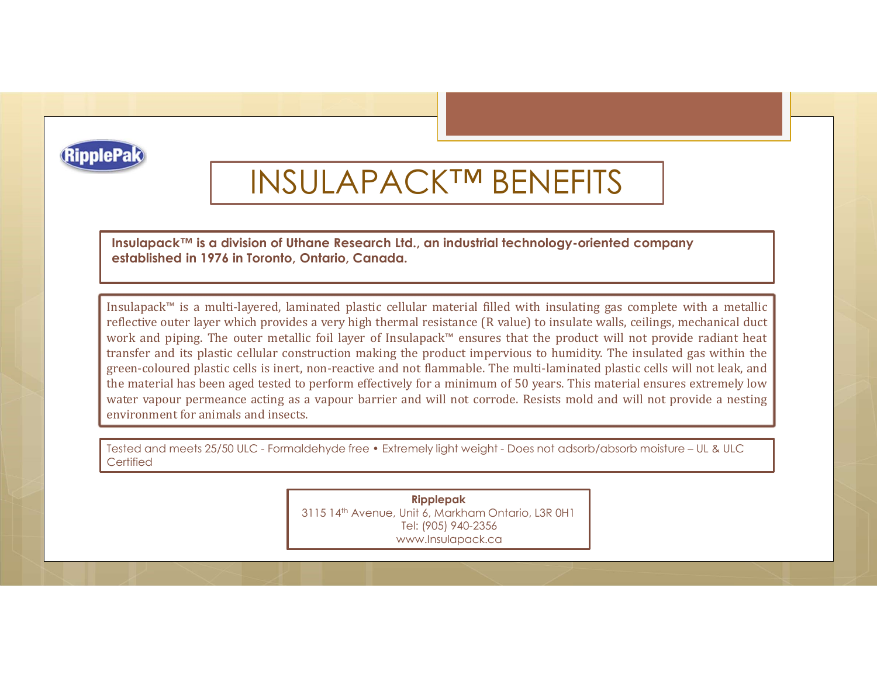

## INSULAPACK™ BENEFITS

Pak<br>Insulapack™ is a division of Uthane Research Ltd., an industrial technology-oriented company<br>established in 1976 in Toronto, Ontario, Canada.<br>Insulapack™ is a multi-layered, laminated plastic cellular material filled established in 1976 in Toronto, Ontario, Canada.

**INSULAPACK™ BENEFITS**<br>
Insulapack™ is a division of Utner Research Id., an industrial fechnology-oriented company<br>
Insulapack™ is a division of Utner Research Id., an industrial field with insulating gas complete with a m **Pake**<br>**reflective outer layers of the control of the second line, on industrial technology-oriented company<br>established in 1978 in foronto, Ontario, Canada.<br>Insulancek<sup>ne</sup> is a multi-layered, laminated plastic ceiliuar m Pake**<br>
INSULAPACK™ BENEFITS<br>
Insulapack™ is a division of Uthene Research Ltd., on industrial technology-oriented company<br>
established in 1976 in Toronto, Ontario, Canada.<br>
Insulapack™ is a multi-layered, laminated plas **THE SET AND TRINSFER AND ART AND SENTAL CONSTRANS INTO THE SURFACT AND INCREDIBLEM IN A CONSTRANS IN A CONSTRANS IN A CONSTRANS IN A CONSTRANS IN A CONSTRANS AND INSURANCE AND INSURANCE AND INTERFERITY ONCE THE PROTOCONS** green-coloured plastic cells is inert, non-reactive and not flammable. The multi-laminated plastic cells is inert, non-reactive and not flammable. The multi-laminated gas complete with a metallic invalidation of the multi-**Example 18.4**<br> **THE MATH INTERFORM INTERFORM INTERFORM ISSUE TO THE MATH INTERFORM ISSUE TO THE MATH INTERFORM AND A DETERMINDENT AND MONORATED THE MATH INTERFORM ON THE MATH INTERFORM CONTROLLAR THE MATH INTERFORM INTER Pake**<br>
Insulapack<sup>ms</sup> is a division of Uthene Research Ltd., an industrial technology-oriented company<br>
established in 1976 in Toronto, Ontario, Canada.<br>
Insulapack<sup>m</sup> is a multi-layered, laminated plastic cellular mater **ENDREM SULAPACKTM BENEFITS**<br>
Insulapack<sup>tM</sup> is a division of Uthane Research Ltd., an industrial technology-oriented<br>
established in 1976 in Toronto, Ontario, Canada.<br>
Insulapack<sup>tM</sup> is a multi-layered, laminated plastic This usulappack<sup>na</sup> is a division of Uthane Research Ltd., an industrial technology-oriented company<br>
established in 1976 in Toronto, Ontario, Canada.<br>
Insulappack<sup>ne</sup> is a multi-layered, laminated plastic cellular materi

**Certified** 

Ripplepak 3115 14th Avenue, Unit 6, Markham Ontario, L3R 0H1 Tel: (905) 940-2356 www.Insulapack.ca